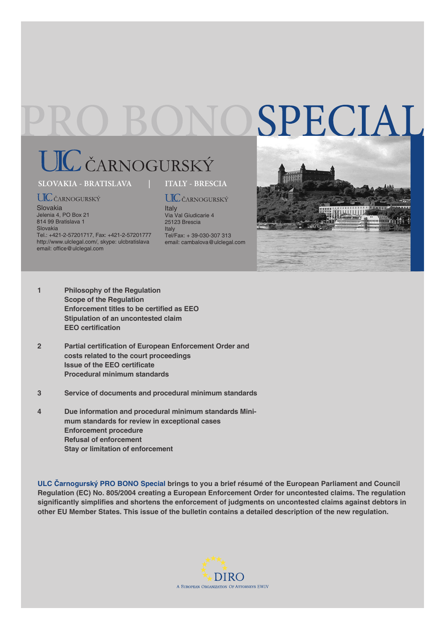# SPECIAL

## UL ČARNOGURSKÝ

#### **SLOVAKIA - BRATISLAVA | ITALY - BRESCIA**

### **UIC** ČARNOGURSKÝ

Slovakia Jelenia 4, PO Box 21 814 99 Bratislava 1 Slovakia Tel.: +421-2-57201717, Fax: +421-2-57201777 http://www.ulclegal.com/, skype: ulcbratislava email: office@ulclegal.com

**UIC** ČARNOGURSKÝ **Italy** 

Via Val Giudicarie 4 25123 Brescia Italy Tel/Fax: + 39-030-307 313 email: cambalova@ulclegal.com



- **1 Philosophy of the Regulation Scope of the Regulation Enforcement titles to be certified as EEO Stipulation of an uncontested claim EEO** certification
- **2** Partial certification of European Enforcement Order and  **costs related to the court proceedings Issue of the EEO certificate Procedural minimum standards**
- **3 Service of documents and procedural minimum standards**
- **4 Due information and procedural minimum standards Mini mum standards for review in exceptional cases Enforcement procedure Refusal of enforcement Stay or limitation of enforcement**

**ULC Čarnogurský PRO BONO Special brings to you a brief résumé of the European Parliament and Council Regulation (EC) No. 805/2004 creating a European Enforcement Order for uncontested claims. The regulation**  significantly simplifies and shortens the enforcement of judgments on uncontested claims against debtors in **other EU Member States. This issue of the bulletin contains a detailed description of the new regulation.**

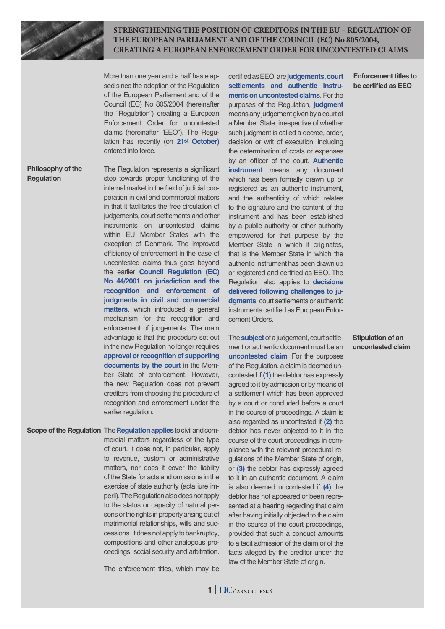

**STRENGTHENING THE POSITION OF CREDITORS IN THE EU – REGULATION OF THE EUROPEAN PARLIAMENT AND OF THE COUNCIL (EC) No 805/2004, CREATING A EUROPEAN ENFORCEMENT ORDER FOR UNCONTESTED CLAIMS**

More than one year and a half has elapsed since the adoption of the Regulation of the European Parliament and of the Council (EC) No 805/2004 (hereinafter the "Regulation") creating a European Enforcement Order for uncontested claims (hereinafter "EEO"). The Regulation has recently (on 21<sup>st</sup> October) entered into force.

#### **Philosophy of the Regulation**

The Regulation represents a significant step towards proper functioning of the internal market in the field of judicial cooperation in civil and commercial matters in that it facilitates the free circulation of judgements, court settlements and other instruments on uncontested claims within EU Member States with the exception of Denmark. The improved efficiency of enforcement in the case of uncontested claims thus goes beyond the earlier **Council Regulation (EC) No 44/2001 on jurisdiction and the recognition and enforcement of judgments in civil and commercial matters**, which introduced a general mechanism for the recognition and enforcement of judgements. The main advantage is that the procedure set out in the new Regulation no longer requires **approval or recognition of supporting documents by the court** in the Member State of enforcement. However, the new Regulation does not prevent creditors from choosing the procedure of recognition and enforcement under the earlier regulation.

**Scope of the Regulation The Regulation applies** to civil and commercial matters regardless of the type of court. It does not, in particular, apply to revenue, custom or administrative matters, nor does it cover the liability of the State for acts and omissions in the exercise of state authority (acta iure imperii). The Regulation also does not apply to the status or capacity of natural persons or the rights in property arising out of matrimonial relationships, wills and successions. It does not apply to bankruptcy, compositions and other analogous proceedings, social security and arbitration.

The enforcement titles, which may be

certified as EEO, are judgements, court **settlements and authentic instruments on uncontested claims**. For the purposes of the Regulation, **judgment** means any judgement given by a court of a Member State, irrespective of whether such judgment is called a decree, order, decision or writ of execution, including the determination of costs or expenses by an officer of the court. **Authentic instrument** means any document which has been formally drawn up or registered as an authentic instrument, and the authenticity of which relates to the signature and the content of the instrument and has been established by a public authority or other authority empowered for that purpose by the Member State in which it originates, that is the Member State in which the authentic instrument has been drawn up or registered and certified as EEO. The Regulation also applies to **decisions delivered following challenges to judgments**, court settlements or authentic instruments certified as European Enforcement Orders.

The **subject** of a judgement, court settlement or authentic document must be an **uncontested claim**. For the purposes of the Regulation, a claim is deemed uncontested if **(1)** the debtor has expressly agreed to it by admission or by means of a settlement which has been approved by a court or concluded before a court in the course of proceedings. A claim is also regarded as uncontested if **(2)** the debtor has never objected to it in the course of the court proceedings in compliance with the relevant procedural regulations of the Member State of origin, or **(3)** the debtor has expressly agreed to it in an authentic document. A claim is also deemed uncontested if **(4)** the debtor has not appeared or been represented at a hearing regarding that claim after having initially objected to the claim in the course of the court proceedings, provided that such a conduct amounts to a tacit admission of the claim or of the facts alleged by the creditor under the law of the Member State of origin.

**Enforcement titles to be certified as EEO** 

**Stipulation of an uncontested claim**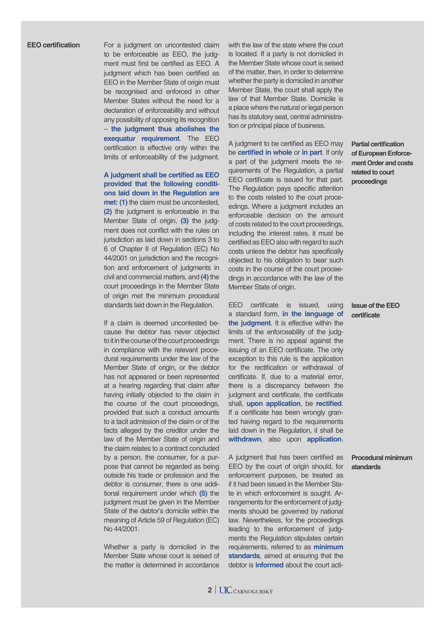#### **EEO** certification

For a judgment on uncontested claim to be enforceable as EEO, the judgment must first be certified as EEO. A judgment which has been certified as EEO in the Member State of origin must be recognised and enforced in other Member States without the need for a declaration of enforceability and without any possibility of opposing its recognition – **the judgment thus abolishes the exequatur requirement**. The EEO certification is effective only within the limits of enforceability of the judgment.

**A judgment shall be certified as EEO provided that the following conditions laid down in the Regulation are met: (1)** the claim must be uncontested, **(2)** the judgment is enforceable in the Member State of origin, **(3)** the judgment does not conflict with the rules on jurisdiction as laid down in sections 3 to 6 of Chapter II of Regulation (EC) No 44/2001 on jurisdiction and the recognition and enforcement of judgments in civil and commercial matters, and **(4)** the court proceedings in the Member State of origin met the minimum procedural standards laid down in the Regulation.

If a claim is deemed uncontested because the debtor has never objected to it in the course of the court proceedings in compliance with the relevant procedural requirements under the law of the Member State of origin, or the debtor has not appeared or been represented at a hearing regarding that claim after having initially objected to the claim in the course of the court proceedings, provided that such a conduct amounts to a tacit admission of the claim or of the facts alleged by the creditor under the law of the Member State of origin and the claim relates to a contract concluded by a person, the consumer, for a purpose that cannot be regarded as being outside his trade or profession and the debtor is consumer, there is one additional requirement under which **(5)** the judgment must be given in the Member State of the debtor's domicile within the meaning of Article 59 of Regulation (EC) No 44/2001.

Whether a party is domiciled in the Member State whose court is seised of the matter is determined in accordance with the law of the state where the court is located. If a party is not domiciled in the Member State whose court is seised of the matter, then, in order to determine whether the party is domiciled in another Member State, the court shall apply the law of that Member State. Domicile is a place where the natural or legal person has its statutory seat, central administration or principal place of business.

A judgment to be certified as EEO may be **certified in whole** or **in part**. If only a part of the judgment meets the requirements of the Regulation, a partial EEO certificate is issued for that part. The Regulation pays specific attention to the costs related to the court proceedings. Where a judgment includes an enforceable decision on the amount of costs related to the court proceedings, including the interest rates, it must be certified as EEO also with regard to such costs unless the debtor has specifically objected to his obligation to bear such costs in the course of the court proceedings in accordance with the law of the Member State of origin.

EEO certificate is issued, using a standard form, **in the language of the judgment**. It is effective within the limits of the enforceability of the judgment. There is no appeal against the issuing of an EEO certificate. The only exception to this rule is the application for the rectification or withdrawal of certificate. If, due to a material error, there is a discrepancy between the judgment and certificate, the certificate shall, **upon application**, be **rectified**. If a certificate has been wrongly granted having regard to the requirements laid down in the Regulation, it shall be **withdrawn**, also upon **application**.

A judgment that has been certified as EEO by the court of origin should, for enforcement purposes, be treated as if it had been issued in the Member State in which enforcement is sought. Arrangements for the enforcement of judgments should be governed by national law. Nevertheless, for the proceedings leading to the enforcement of judgments the Regulation stipulates certain requirements, referred to as **minimum standards**, aimed at ensuring that the debtor is **informed** about the court acti**Partial certification of European Enforcement Order and costs related to court proceedings**

#### **Issue of the EEO certifi cate**

**Procedural minimum standards**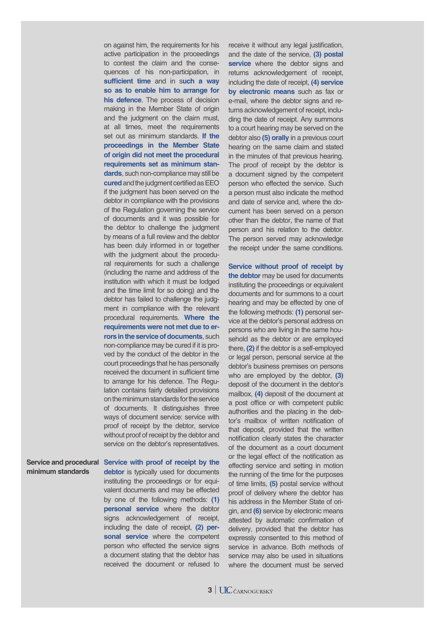on against him, the requirements for his active participation in the proceedings to contest the claim and the consequences of his non-participation, in **sufficient time** and in such a way **so as to enable him to arrange for his defence**. The process of decision making in the Member State of origin and the judgment on the claim must, at all times, meet the requirements set out as minimum standards. **If the proceedings in the Member State of origin did not meet the procedural requirements set as minimum standards**, such non-compliance may still be **cured** and the judgment certified as EEO if the judgment has been served on the debtor in compliance with the provisions of the Regulation governing the service of documents and it was possible for the debtor to challenge the judgment by means of a full review and the debtor has been duly informed in or together with the judgment about the procedural requirements for such a challenge (including the name and address of the institution with which it must be lodged and the time limit for so doing) and the debtor has failed to challenge the judgment in compliance with the relevant procedural requirements. **Where the requirements were not met due to errors in the service of documents**, such non-compliance may be cured if it is proved by the conduct of the debtor in the court proceedings that he has personally received the document in sufficient time to arrange for his defence. The Regulation contains fairly detailed provisions on the minimum standards for the service of documents. It distinguishes three ways of document service: service with proof of receipt by the debtor, service without proof of receipt by the debtor and service on the debtor's representatives.

Service and procedural Service with proof of receipt by the **minimum standards** 

**debtor** is typically used for documents instituting the proceedings or for equivalent documents and may be effected by one of the following methods: **(1) personal service** where the debtor signs acknowledgement of receipt, including the date of receipt, **(2) personal service** where the competent person who effected the service signs a document stating that the debtor has received the document or refused to

receive it without any legal justification, and the date of the service, **(3) postal**  service where the debtor signs and returns acknowledgement of receipt, including the date of receipt, **(4) service by electronic means** such as fax or e-mail, where the debtor signs and returns acknowledgement of receipt, including the date of receipt. Any summons to a court hearing may be served on the debtor also **(5) orally** in a previous court hearing on the same claim and stated in the minutes of that previous hearing. The proof of receipt by the debtor is a document signed by the competent person who effected the service. Such a person must also indicate the method and date of service and, where the document has been served on a person other than the debtor, the name of that person and his relation to the debtor. The person served may acknowledge the receipt under the same conditions.

**Service without proof of receipt by the debtor** may be used for documents instituting the proceedings or equivalent documents and for summons to a court hearing and may be effected by one of the following methods: **(1)** personal service at the debtor's personal address on persons who are living in the same household as the debtor or are employed there, **(2)** if the debtor is a self-employed or legal person, personal service at the debtor's business premises on persons who are employed by the debtor, **(3)**  deposit of the document in the debtor's mailbox, **(4)** deposit of the document at a post office or with competent public authorities and the placing in the debtor's mailbox of written notification of that deposit, provided that the written notification clearly states the character of the document as a court document or the legal effect of the notification as effecting service and setting in motion the running of the time for the purposes of time limits, **(5)** postal service without proof of delivery where the debtor has his address in the Member State of origin, and **(6)** service by electronic means attested by automatic confirmation of delivery, provided that the debtor has expressly consented to this method of service in advance. Both methods of service may also be used in situations where the document must be served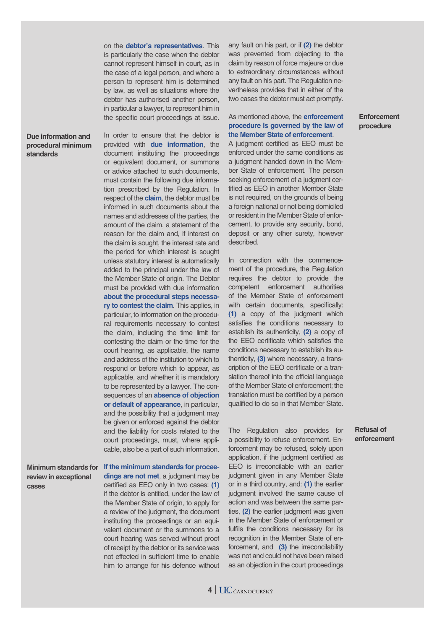on the **debtor's representatives**. This is particularly the case when the debtor cannot represent himself in court, as in the case of a legal person, and where a person to represent him is determined by law, as well as situations where the debtor has authorised another person, in particular a lawyer, to represent him in the specific court proceedings at issue.

#### **Due information and procedural minimum standards**

In order to ensure that the debtor is provided with **due information**, the document instituting the proceedings or equivalent document, or summons or advice attached to such documents, must contain the following due information prescribed by the Regulation. In respect of the **claim**, the debtor must be informed in such documents about the names and addresses of the parties, the amount of the claim, a statement of the reason for the claim and, if interest on the claim is sought, the interest rate and the period for which interest is sought unless statutory interest is automatically added to the principal under the law of the Member State of origin. The Debtor must be provided with due information **about the procedural steps necessary to contest the claim**. This applies, in particular, to information on the procedural requirements necessary to contest the claim, including the time limit for contesting the claim or the time for the court hearing, as applicable, the name and address of the institution to which to respond or before which to appear, as applicable, and whether it is mandatory to be represented by a lawyer. The consequences of an **absence of objection or default of appearance**, in particular, and the possibility that a judgment may be given or enforced against the debtor and the liability for costs related to the court proceedings, must, where applicable, also be a part of such information.

**review in exceptional cases**

**If the minimum standards for procee-Minimum standards for dings are not met**, a judgment may be certified as EEO only in two cases: (1) if the debtor is entitled, under the law of the Member State of origin, to apply for a review of the judgment, the document instituting the proceedings or an equivalent document or the summons to a court hearing was served without proof of receipt by the debtor or its service was not effected in sufficient time to enable him to arrange for his defence without any fault on his part, or if **(2)** the debtor was prevented from objecting to the claim by reason of force majeure or due to extraordinary circumstances without any fault on his part. The Regulation nevertheless provides that in either of the two cases the debtor must act promptly.

#### As mentioned above, the **enforcement procedure is governed by the law of the Member State of enforcement**.

A judgment certified as EEO must be enforced under the same conditions as a judgment handed down in the Member State of enforcement. The person seeking enforcement of a judgment certified as EEO in another Member State is not required, on the grounds of being a foreign national or not being domiciled or resident in the Member State of enforcement, to provide any security, bond, deposit or any other surety, however described.

In connection with the commencement of the procedure, the Regulation requires the debtor to provide the competent enforcement authorities of the Member State of enforcement with certain documents, specifically: **(1)** a copy of the judgment which satisfies the conditions necessary to establish its authenticity, **(2)** a copy of the EEO certificate which satisfies the conditions necessary to establish its authenticity, **(3)** where necessary, a transcription of the EEO certificate or a translation thereof into the official language of the Member State of enforcement; the translation must be certified by a person qualified to do so in that Member State.

The Regulation also provides for a possibility to refuse enforcement. Enforcement may be refused, solely upon application, if the judgment certified as EEO is irreconcilable with an earlier judgment given in any Member State or in a third country, and: **(1)** the earlier judgment involved the same cause of action and was between the same parties, **(2)** the earlier judgment was given in the Member State of enforcement or fulfils the conditions necessary for its recognition in the Member State of enforcement, and **(3)** the irreconcilability was not and could not have been raised as an objection in the court proceedings

#### **Refusal of enforcement**



#### **Enforcement procedure**